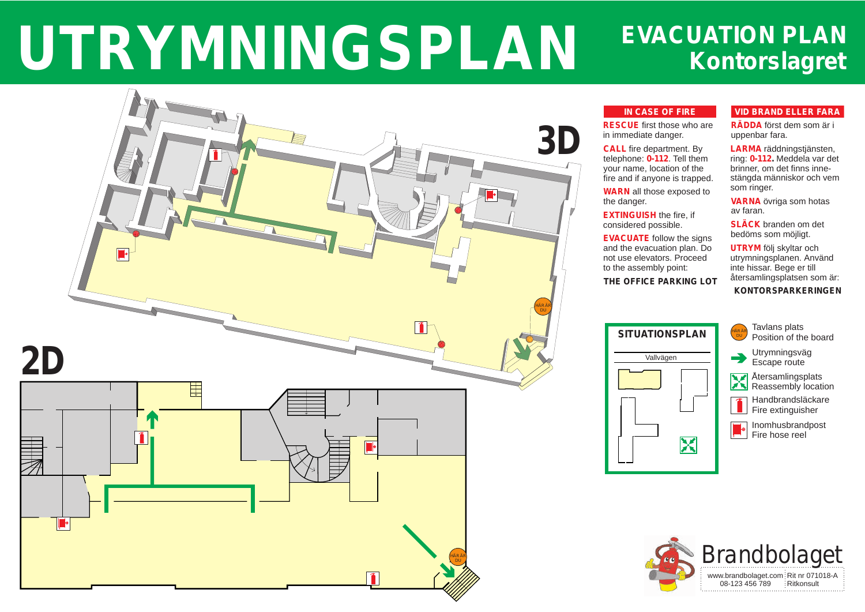5

<u>|</u>



5

 $\blacksquare$ 

HÄR ÄR DU /

# **Kontorslagret UTRYMNINGSPLAN** EVACUATION PLAN

 $\blacktriangleright$ 

 $\overline{R}$ HÄR ÄR DU /

> Återsamlingsplats Reassembly location



Tavlans plats Position of the board





Utrymningsväg Escape route



Handbrandsläckare Fire extinguisher



Inomhusbrandpost Fire hose reel

## **VID BRAND ELLER FARA**

**RÄDDA** först dem som är i uppenbar fara.

**LARMA** räddningstjänsten, ring: **0-112.** Meddela var det brinner, om det finns innestängda människor och vem som ringer.

**VARNA** övriga som hotas av faran.

**SLÄCK** branden om det bedöms som möjligt.

**UTRYM** följ skyltar och utrymningsplanen. Använd inte hissar. Bege er till återsamlingsplatsen som är:

### **KONTORSPARKERINGEN**

#### **IN CASE OF FIRE**



**RESCUE** first those who are in immediate danger.

**CALL** fire department. By telephone: **0-112**. Tell them your name, location of the fire and if anyone is trapped.

**WARN** all those exposed to the danger.

**EXTINGUISH** the fire, if considered possible.

**EVACUATE** follow the signs and the evacuation plan. Do not use elevators. Proceed to the assembly point:

**THE OFFICE PARKING LOT**



**3D**

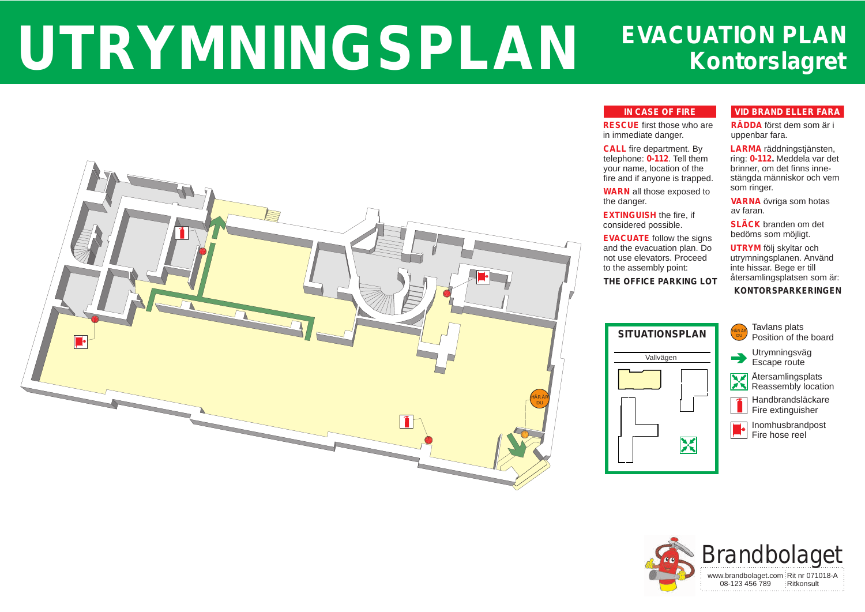5

6



# **Kontorslagret** UTRYMNINGSPLAN EVACUATION PLAN

Tavlans plats Position of the board





Utrymningsväg Escape route



**A**tersamlingsplats Reassembly location



Handbrandsläckare Fire extinguisher



Inomhusbrandpost Fire hose reel

## **VID BRAND ELLER FARA**

**RÄDDA** först dem som är i uppenbar fara.

**LARMA** räddningstjänsten, ring: **0-112.** Meddela var det brinner, om det finns innestängda människor och vem som ringer.

**VARNA** övriga som hotas av faran.

**SLÄCK** branden om det bedöms som möjligt.

**UTRYM** följ skyltar och utrymningsplanen. Använd inte hissar. Bege er till återsamlingsplatsen som är:

### **KONTORSPARKERINGEN**

#### **IN CASE OF FIRE**



**RESCUE** first those who are in immediate danger.

**CALL** fire department. By telephone: **0-112**. Tell them your name, location of the fire and if anyone is trapped.

**WARN** all those exposed to the danger.

**EXTINGUISH** the fire, if considered possible.

**EVACUATE** follow the signs and the evacuation plan. Do not use elevators. Proceed to the assembly point: